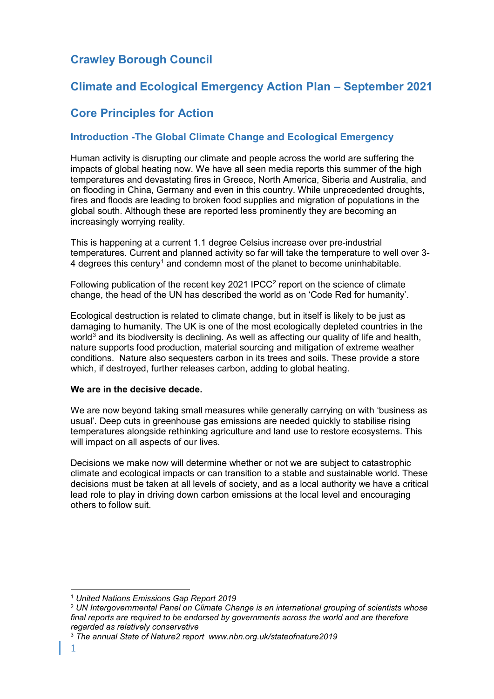# **Crawley Borough Council**

# **Climate and Ecological Emergency Action Plan – September 2021**

# **Core Principles for Action**

# **Introduction -The Global Climate Change and Ecological Emergency**

Human activity is disrupting our climate and people across the world are suffering the impacts of global heating now. We have all seen media reports this summer of the high temperatures and devastating fires in Greece, North America, Siberia and Australia, and on flooding in China, Germany and even in this country. While unprecedented droughts, fires and floods are leading to broken food supplies and migration of populations in the global south. Although these are reported less prominently they are becoming an increasingly worrying reality.

This is happening at a current 1.1 degree Celsius increase over pre-industrial temperatures. Current and planned activity so far will take the temperature to well over 3- 4 degrees this century[1](#page-0-0) and condemn most of the planet to become uninhabitable.

Following publication of the recent key [2](#page-0-1)021 IPCC $2$  report on the science of climate change, the head of the UN has described the world as on 'Code Red for humanity'.

Ecological destruction is related to climate change, but in itself is likely to be just as damaging to humanity. The UK is one of the most ecologically depleted countries in the world<sup>[3](#page-0-2)</sup> and its biodiversity is declining. As well as affecting our quality of life and health, nature supports food production, material sourcing and mitigation of extreme weather conditions. Nature also sequesters carbon in its trees and soils. These provide a store which, if destroved, further releases carbon, adding to global heating.

### **We are in the decisive decade.**

We are now beyond taking small measures while generally carrying on with 'business as usual'. Deep cuts in greenhouse gas emissions are needed quickly to stabilise rising temperatures alongside rethinking agriculture and land use to restore ecosystems. This will impact on all aspects of our lives.

Decisions we make now will determine whether or not we are subject to catastrophic climate and ecological impacts or can transition to a stable and sustainable world. These decisions must be taken at all levels of society, and as a local authority we have a critical lead role to play in driving down carbon emissions at the local level and encouraging others to follow suit.

<span id="page-0-0"></span> <sup>1</sup> *United Nations Emissions Gap Report 2019*

<span id="page-0-1"></span><sup>2</sup> *UN Intergovernmental Panel on Climate Change is an international grouping of scientists whose final reports are required to be endorsed by governments across the world and are therefore regarded as relatively conservative*

<span id="page-0-2"></span><sup>3</sup> *The annual State of Nature2 report www.nbn.org.uk/stateofnature2019*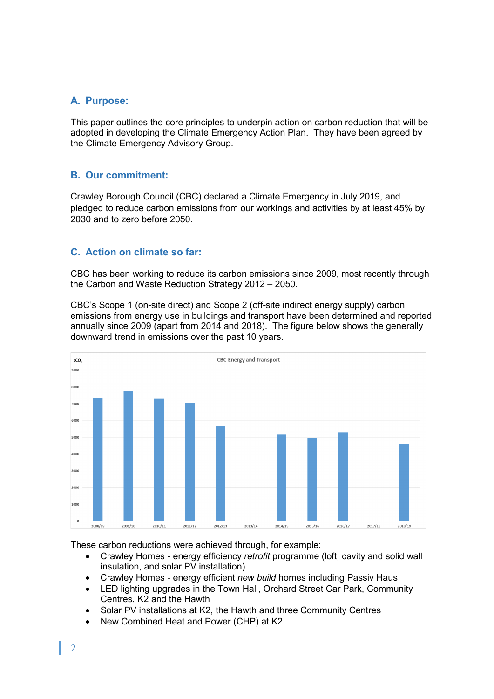## **A. Purpose:**

This paper outlines the core principles to underpin action on carbon reduction that will be adopted in developing the Climate Emergency Action Plan. They have been agreed by the Climate Emergency Advisory Group.

# **B. Our commitment:**

Crawley Borough Council (CBC) declared a Climate Emergency in July 2019, and pledged to reduce carbon emissions from our workings and activities by at least 45% by 2030 and to zero before 2050.

# **C. Action on climate so far:**

CBC has been working to reduce its carbon emissions since 2009, most recently through the Carbon and Waste Reduction Strategy 2012 – 2050.

CBC's Scope 1 (on-site direct) and Scope 2 (off-site indirect energy supply) carbon emissions from energy use in buildings and transport have been determined and reported annually since 2009 (apart from 2014 and 2018). The figure below shows the generally downward trend in emissions over the past 10 years.



These carbon reductions were achieved through, for example:

- Crawley Homes energy efficiency *retrofit* programme (loft, cavity and solid wall insulation, and solar PV installation)
- Crawley Homes energy efficient *new build* homes including Passiv Haus
- LED lighting upgrades in the Town Hall, Orchard Street Car Park, Community Centres, K2 and the Hawth
- Solar PV installations at K2, the Hawth and three Community Centres
- New Combined Heat and Power (CHP) at K2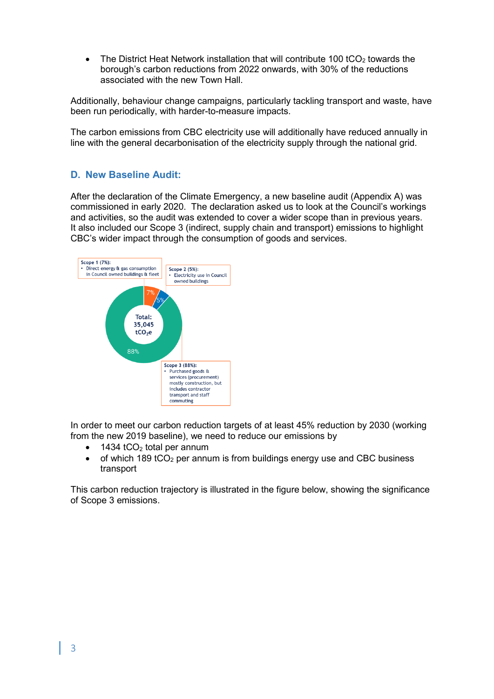• The District Heat Network installation that will contribute 100 tCO<sub>2</sub> towards the borough's carbon reductions from 2022 onwards, with 30% of the reductions associated with the new Town Hall.

Additionally, behaviour change campaigns, particularly tackling transport and waste, have been run periodically, with harder-to-measure impacts.

The carbon emissions from CBC electricity use will additionally have reduced annually in line with the general decarbonisation of the electricity supply through the national grid.

# **D. New Baseline Audit:**

After the declaration of the Climate Emergency, a new baseline audit (Appendix A) was commissioned in early 2020. The declaration asked us to look at the Council's workings and activities, so the audit was extended to cover a wider scope than in previous years. It also included our Scope 3 (indirect, supply chain and transport) emissions to highlight CBC's wider impact through the consumption of goods and services.



In order to meet our carbon reduction targets of at least 45% reduction by 2030 (working from the new 2019 baseline), we need to reduce our emissions by

- 1434  $tCO<sub>2</sub>$  total per annum
- of which 189 tCO<sub>2</sub> per annum is from buildings energy use and CBC business transport

This carbon reduction trajectory is illustrated in the figure below, showing the significance of Scope 3 emissions.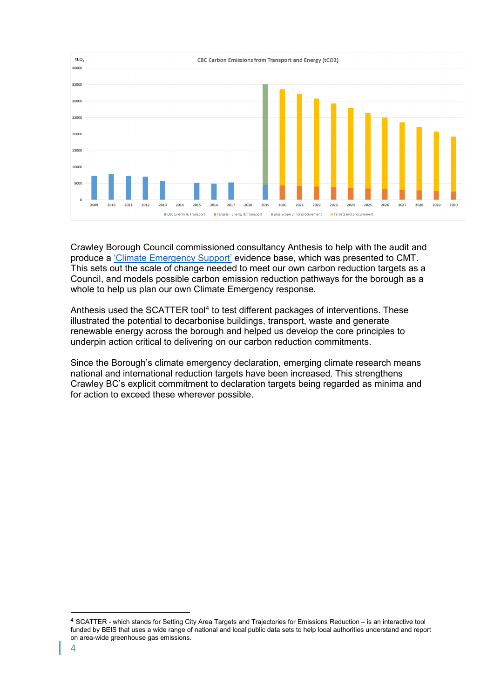

Crawley Borough Council commissioned consultancy Anthesis to help with the audit and produce a ['Climate Emergency Support'](https://crawley.gov.uk/sites/default/files/2021-02/Climate_emergency_support_Feb2021.pdf) evidence base, which was presented to CMT. This sets out the scale of change needed to meet our own carbon reduction targets as a Council, and models possible carbon emission reduction pathways for the borough as a whole to help us plan our own Climate Emergency response.

Anthesis used the SCATTER tool<sup>[4](#page-3-0)</sup> to test different packages of interventions. These illustrated the potential to decarbonise buildings, transport, waste and generate renewable energy across the borough and helped us develop the core principles to underpin action critical to delivering on our carbon reduction commitments.

Since the Borough's climate emergency declaration, emerging climate research means national and international reduction targets have been increased. This strengthens Crawley BC's explicit commitment to declaration targets being regarded as minima and for action to exceed these wherever possible.

<span id="page-3-0"></span> <sup>4</sup> SCATTER - which stands for Setting City Area Targets and Trajectories for Emissions Reduction – is an interactive tool funded by BEIS that uses a wide range of national and local public data sets to help local authorities understand and report on area-wide greenhouse gas emissions.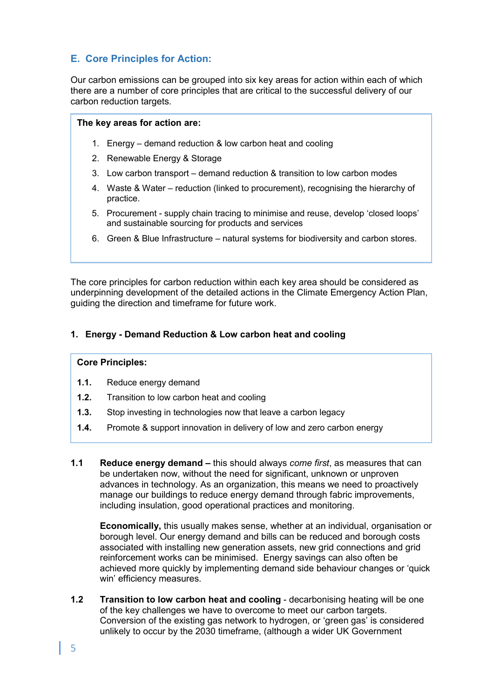# **E. Core Principles for Action:**

Our carbon emissions can be grouped into six key areas for action within each of which there are a number of core principles that are critical to the successful delivery of our carbon reduction targets.

#### **The key areas for action are:**

- 1. Energy demand reduction & low carbon heat and cooling
- 2. Renewable Energy & Storage
- 3. Low carbon transport demand reduction & transition to low carbon modes
- 4. Waste & Water reduction (linked to procurement), recognising the hierarchy of practice.
- 5. Procurement supply chain tracing to minimise and reuse, develop 'closed loops' and sustainable sourcing for products and services
- 6. Green & Blue Infrastructure natural systems for biodiversity and carbon stores.

The core principles for carbon reduction within each key area should be considered as underpinning development of the detailed actions in the Climate Emergency Action Plan, guiding the direction and timeframe for future work.

### **1. Energy - Demand Reduction & Low carbon heat and cooling**

#### **Core Principles:**

- **1.1.** Reduce energy demand
- **1.2.** Transition to low carbon heat and cooling
- **1.3.** Stop investing in technologies now that leave a carbon legacy
- **1.4.** Promote & support innovation in delivery of low and zero carbon energy
- **1.1 Reduce energy demand –** this should always *come first*, as measures that can be undertaken now, without the need for significant, unknown or unproven advances in technology. As an organization, this means we need to proactively manage our buildings to reduce energy demand through fabric improvements, including insulation, good operational practices and monitoring.

**Economically,** this usually makes sense, whether at an individual, organisation or borough level. Our energy demand and bills can be reduced and borough costs associated with installing new generation assets, new grid connections and grid reinforcement works can be minimised. Energy savings can also often be achieved more quickly by implementing demand side behaviour changes or 'quick win' efficiency measures.

**1.2 Transition to low carbon heat and cooling** - decarbonising heating will be one of the key challenges we have to overcome to meet our carbon targets. Conversion of the existing gas network to hydrogen, or 'green gas' is considered unlikely to occur by the 2030 timeframe, (although a wider UK Government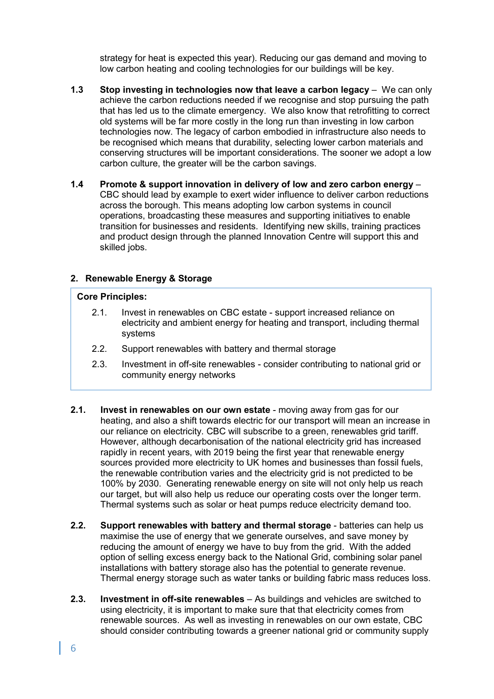strategy for heat is expected this year). Reducing our gas demand and moving to low carbon heating and cooling technologies for our buildings will be key.

- **1.3 Stop investing in technologies now that leave a carbon legacy** We can only achieve the carbon reductions needed if we recognise and stop pursuing the path that has led us to the climate emergency. We also know that retrofitting to correct old systems will be far more costly in the long run than investing in low carbon technologies now. The legacy of carbon embodied in infrastructure also needs to be recognised which means that durability, selecting lower carbon materials and conserving structures will be important considerations. The sooner we adopt a low carbon culture, the greater will be the carbon savings.
- **1.4 Promote & support innovation in delivery of low and zero carbon energy** CBC should lead by example to exert wider influence to deliver carbon reductions across the borough. This means adopting low carbon systems in council operations, broadcasting these measures and supporting initiatives to enable transition for businesses and residents. Identifying new skills, training practices and product design through the planned Innovation Centre will support this and skilled jobs.

#### **2. Renewable Energy & Storage**

#### **Core Principles:**

- 2.1. Invest in renewables on CBC estate support increased reliance on electricity and ambient energy for heating and transport, including thermal systems
- 2.2. Support renewables with battery and thermal storage
- 2.3. Investment in off-site renewables consider contributing to national grid or community energy networks
- **2.1. Invest in renewables on our own estate** moving away from gas for our heating, and also a shift towards electric for our transport will mean an increase in our reliance on electricity. CBC will subscribe to a green, renewables grid tariff. However, although decarbonisation of the national electricity grid has increased rapidly in recent years, with 2019 being the first year that renewable energy sources provided more electricity to UK homes and businesses than fossil fuels, the renewable contribution varies and the electricity grid is not predicted to be 100% by 2030. Generating renewable energy on site will not only help us reach our target, but will also help us reduce our operating costs over the longer term. Thermal systems such as solar or heat pumps reduce electricity demand too.
- **2.2. Support renewables with battery and thermal storage** batteries can help us maximise the use of energy that we generate ourselves, and save money by reducing the amount of energy we have to buy from the grid. With the added option of selling excess energy back to the National Grid, combining solar panel installations with battery storage also has the potential to generate revenue. Thermal energy storage such as water tanks or building fabric mass reduces loss.
- **2.3. Investment in off-site renewables** As buildings and vehicles are switched to using electricity, it is important to make sure that that electricity comes from renewable sources. As well as investing in renewables on our own estate, CBC should consider contributing towards a greener national grid or community supply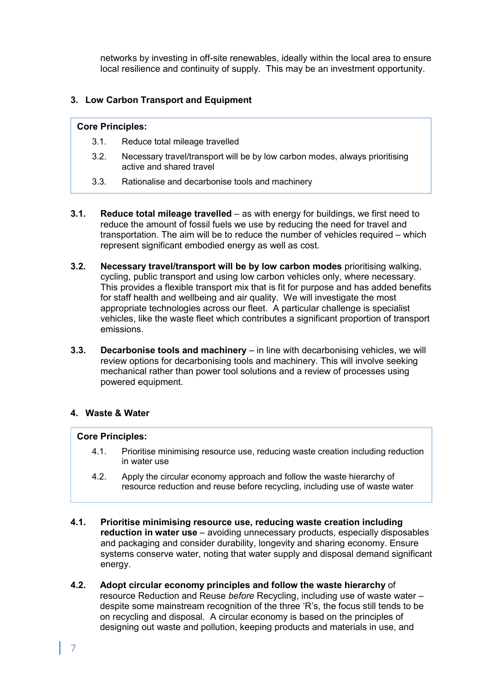networks by investing in off-site renewables, ideally within the local area to ensure local resilience and continuity of supply. This may be an investment opportunity.

## **3. Low Carbon Transport and Equipment**

#### **Core Principles:**

- 3.1. Reduce total mileage travelled
- 3.2. Necessary travel/transport will be by low carbon modes, always prioritising active and shared travel
- 3.3. Rationalise and decarbonise tools and machinery
- **3.1. Reduce total mileage travelled** as with energy for buildings, we first need to reduce the amount of fossil fuels we use by reducing the need for travel and transportation. The aim will be to reduce the number of vehicles required – which represent significant embodied energy as well as cost.
- **3.2. Necessary travel/transport will be by low carbon modes** prioritising walking, cycling, public transport and using low carbon vehicles only, where necessary. This provides a flexible transport mix that is fit for purpose and has added benefits for staff health and wellbeing and air quality. We will investigate the most appropriate technologies across our fleet. A particular challenge is specialist vehicles, like the waste fleet which contributes a significant proportion of transport emissions.
- **3.3. Decarbonise tools and machinery** in line with decarbonising vehicles, we will review options for decarbonising tools and machinery. This will involve seeking mechanical rather than power tool solutions and a review of processes using powered equipment.

## **4. Waste & Water**

#### **Core Principles:**

- 4.1. Prioritise minimising resource use, reducing waste creation including reduction in water use
- 4.2. Apply the circular economy approach and follow the waste hierarchy of resource reduction and reuse before recycling, including use of waste water
- **4.1. Prioritise minimising resource use, reducing waste creation including reduction in water use** – avoiding unnecessary products, especially disposables and packaging and consider durability, longevity and sharing economy. Ensure systems conserve water, noting that water supply and disposal demand significant energy.
- **4.2. Adopt circular economy principles and follow the waste hierarchy** of resource Reduction and Reuse *before* Recycling, including use of waste water – despite some mainstream recognition of the three 'R's, the focus still tends to be on recycling and disposal. A circular economy is based on the principles of designing out waste and pollution, keeping products and materials in use, and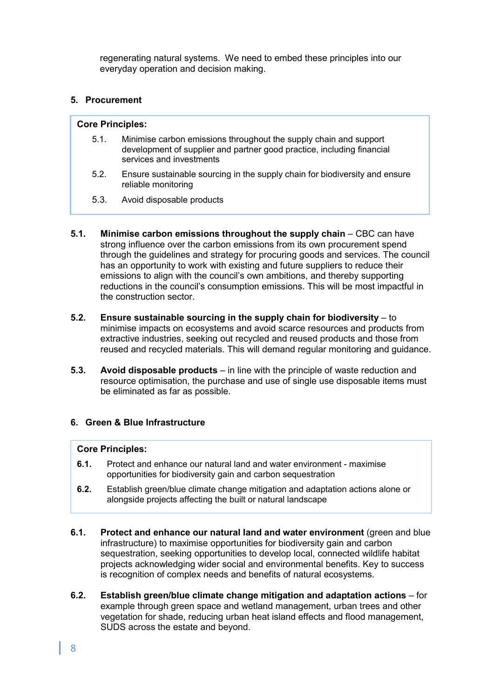regenerating natural systems. We need to embed these principles into our everyday operation and decision making.

## **5. Procurement**

#### **Core Principles:**

- 5.1. Minimise carbon emissions throughout the supply chain and support development of supplier and partner good practice, including financial services and investments
- 5.2. Ensure sustainable sourcing in the supply chain for biodiversity and ensure reliable monitoring
- 5.3. Avoid disposable products
- **5.1. Minimise carbon emissions throughout the supply chain** CBC can have strong influence over the carbon emissions from its own procurement spend through the guidelines and strategy for procuring goods and services. The council has an opportunity to work with existing and future suppliers to reduce their emissions to align with the council's own ambitions, and thereby supporting reductions in the council's consumption emissions. This will be most impactful in the construction sector.
- **5.2. Ensure sustainable sourcing in the supply chain for biodiversity**  to minimise impacts on ecosystems and avoid scarce resources and products from extractive industries, seeking out recycled and reused products and those from reused and recycled materials. This will demand regular monitoring and guidance.
- **5.3. Avoid disposable products** in line with the principle of waste reduction and resource optimisation, the purchase and use of single use disposable items must be eliminated as far as possible.

## **6. Green & Blue Infrastructure**

#### **Core Principles:**

- **6.1.** Protect and enhance our natural land and water environment maximise opportunities for biodiversity gain and carbon sequestration
- **6.2.** Establish green/blue climate change mitigation and adaptation actions alone or alongside projects affecting the built or natural landscape
- **6.1. Protect and enhance our natural land and water environment** (green and blue infrastructure) to maximise opportunities for biodiversity gain and carbon sequestration, seeking opportunities to develop local, connected wildlife habitat projects acknowledging wider social and environmental benefits. Key to success is recognition of complex needs and benefits of natural ecosystems.
- **6.2. Establish green/blue climate change mitigation and adaptation actions** for example through green space and wetland management, urban trees and other vegetation for shade, reducing urban heat island effects and flood management, SUDS across the estate and beyond.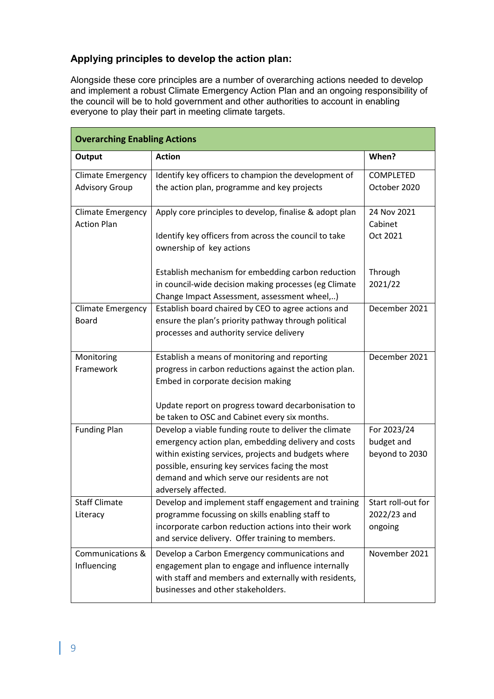# **Applying principles to develop the action plan:**

Alongside these core principles are a number of overarching actions needed to develop and implement a robust Climate Emergency Action Plan and an ongoing responsibility of the council will be to hold government and other authorities to account in enabling everyone to play their part in meeting climate targets.

| <b>Overarching Enabling Actions</b>            |                                                                                                                                                                                                                                                                                                |                                             |  |  |  |  |
|------------------------------------------------|------------------------------------------------------------------------------------------------------------------------------------------------------------------------------------------------------------------------------------------------------------------------------------------------|---------------------------------------------|--|--|--|--|
| Output                                         | <b>Action</b>                                                                                                                                                                                                                                                                                  | When?                                       |  |  |  |  |
| <b>Climate Emergency</b>                       | Identify key officers to champion the development of                                                                                                                                                                                                                                           | COMPLETED                                   |  |  |  |  |
| <b>Advisory Group</b>                          | the action plan, programme and key projects                                                                                                                                                                                                                                                    | October 2020                                |  |  |  |  |
| <b>Climate Emergency</b><br><b>Action Plan</b> | Apply core principles to develop, finalise & adopt plan                                                                                                                                                                                                                                        |                                             |  |  |  |  |
|                                                | Identify key officers from across the council to take<br>ownership of key actions                                                                                                                                                                                                              | Oct 2021                                    |  |  |  |  |
|                                                | Establish mechanism for embedding carbon reduction<br>in council-wide decision making processes (eg Climate<br>Change Impact Assessment, assessment wheel,)                                                                                                                                    | Through<br>2021/22                          |  |  |  |  |
| <b>Climate Emergency</b><br><b>Board</b>       | Establish board chaired by CEO to agree actions and<br>ensure the plan's priority pathway through political<br>processes and authority service delivery                                                                                                                                        | December 2021                               |  |  |  |  |
| Monitoring<br>Framework                        | Establish a means of monitoring and reporting<br>progress in carbon reductions against the action plan.<br>Embed in corporate decision making<br>Update report on progress toward decarbonisation to                                                                                           | December 2021                               |  |  |  |  |
|                                                | be taken to OSC and Cabinet every six months.                                                                                                                                                                                                                                                  |                                             |  |  |  |  |
| <b>Funding Plan</b>                            | Develop a viable funding route to deliver the climate<br>emergency action plan, embedding delivery and costs<br>within existing services, projects and budgets where<br>possible, ensuring key services facing the most<br>demand and which serve our residents are not<br>adversely affected. | For 2023/24<br>budget and<br>beyond to 2030 |  |  |  |  |
| <b>Staff Climate</b><br>Literacy               | Develop and implement staff engagement and training<br>programme focussing on skills enabling staff to                                                                                                                                                                                         | Start roll-out for<br>2022/23 and           |  |  |  |  |
|                                                | incorporate carbon reduction actions into their work<br>and service delivery. Offer training to members.                                                                                                                                                                                       | ongoing                                     |  |  |  |  |
| Communications &<br>Influencing                | Develop a Carbon Emergency communications and<br>engagement plan to engage and influence internally<br>with staff and members and externally with residents,<br>businesses and other stakeholders.                                                                                             | November 2021                               |  |  |  |  |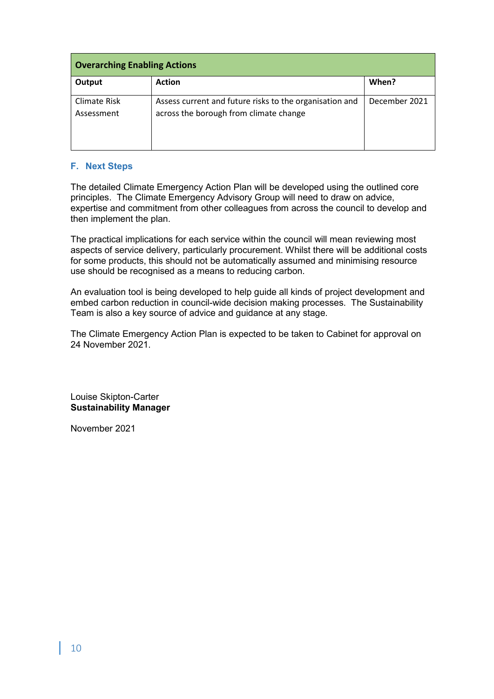| <b>Overarching Enabling Actions</b> |                                                                                                   |               |  |  |  |  |
|-------------------------------------|---------------------------------------------------------------------------------------------------|---------------|--|--|--|--|
| Output                              | <b>Action</b>                                                                                     | When?         |  |  |  |  |
| Climate Risk<br>Assessment          | Assess current and future risks to the organisation and<br>across the borough from climate change | December 2021 |  |  |  |  |

#### **F. Next Steps**

The detailed Climate Emergency Action Plan will be developed using the outlined core principles. The Climate Emergency Advisory Group will need to draw on advice, expertise and commitment from other colleagues from across the council to develop and then implement the plan.

The practical implications for each service within the council will mean reviewing most aspects of service delivery, particularly procurement. Whilst there will be additional costs for some products, this should not be automatically assumed and minimising resource use should be recognised as a means to reducing carbon.

An evaluation tool is being developed to help guide all kinds of project development and embed carbon reduction in council-wide decision making processes. The Sustainability Team is also a key source of advice and guidance at any stage.

The Climate Emergency Action Plan is expected to be taken to Cabinet for approval on 24 November 2021.

Louise Skipton-Carter **Sustainability Manager**

November 2021